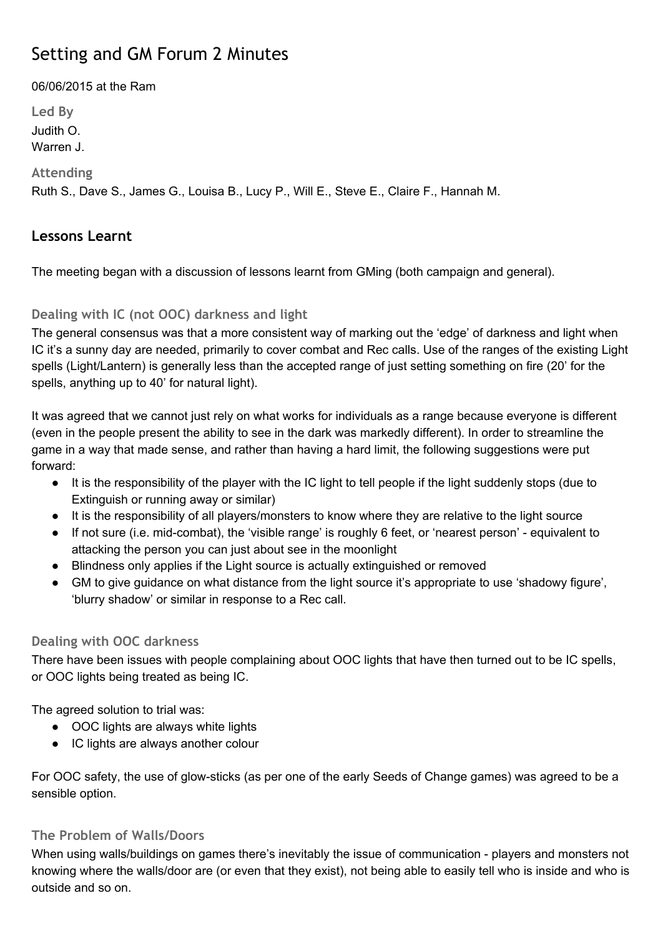# Setting and GM Forum 2 Minutes

06/06/2015 at the Ram

**Led By** Judith O. Warren J. **Attending**

Ruth S., Dave S., James G., Louisa B., Lucy P., Will E., Steve E., Claire F., Hannah M.

# **Lessons Learnt**

The meeting began with a discussion of lessons learnt from GMing (both campaign and general).

# **Dealing with IC (not OOC) darkness and light**

The general consensus was that a more consistent way of marking out the 'edge' of darkness and light when IC it's a sunny day are needed, primarily to cover combat and Rec calls. Use of the ranges of the existing Light spells (Light/Lantern) is generally less than the accepted range of just setting something on fire (20' for the spells, anything up to 40' for natural light).

It was agreed that we cannot just rely on what works for individuals as a range because everyone is different (even in the people present the ability to see in the dark was markedly different). In order to streamline the game in a way that made sense, and rather than having a hard limit, the following suggestions were put forward:

- It is the responsibility of the player with the IC light to tell people if the light suddenly stops (due to Extinguish or running away or similar)
- It is the responsibility of all players/monsters to know where they are relative to the light source
- If not sure (i.e. mid-combat), the 'visible range' is roughly 6 feet, or 'nearest person' equivalent to attacking the person you can just about see in the moonlight
- Blindness only applies if the Light source is actually extinguished or removed
- GM to give guidance on what distance from the light source it's appropriate to use 'shadowy figure', 'blurry shadow' or similar in response to a Rec call.

# **Dealing with OOC darkness**

There have been issues with people complaining about OOC lights that have then turned out to be IC spells, or OOC lights being treated as being IC.

The agreed solution to trial was:

- OOC lights are always white lights
- IC lights are always another colour

For OOC safety, the use of glow-sticks (as per one of the early Seeds of Change games) was agreed to be a sensible option.

## **The Problem of Walls/Doors**

When using walls/buildings on games there's inevitably the issue of communication - players and monsters not knowing where the walls/door are (or even that they exist), not being able to easily tell who is inside and who is outside and so on.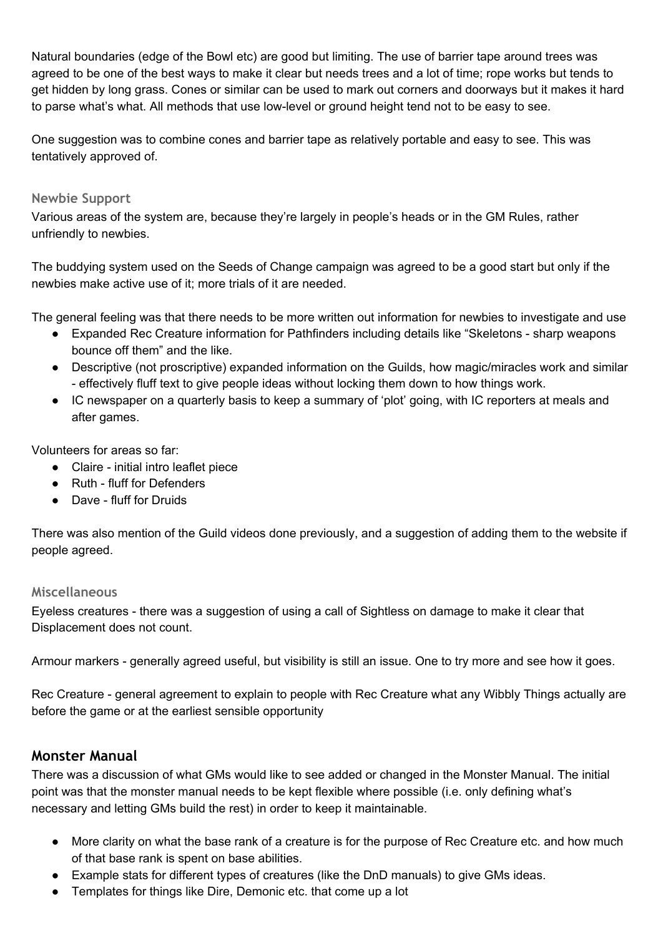Natural boundaries (edge of the Bowl etc) are good but limiting. The use of barrier tape around trees was agreed to be one of the best ways to make it clear but needs trees and a lot of time; rope works but tends to get hidden by long grass. Cones or similar can be used to mark out corners and doorways but it makes it hard to parse what's what. All methods that use low-level or ground height tend not to be easy to see.

One suggestion was to combine cones and barrier tape as relatively portable and easy to see. This was tentatively approved of.

#### **Newbie Support**

Various areas of the system are, because they're largely in people's heads or in the GM Rules, rather unfriendly to newbies.

The buddying system used on the Seeds of Change campaign was agreed to be a good start but only if the newbies make active use of it; more trials of it are needed.

The general feeling was that there needs to be more written out information for newbies to investigate and use

- Expanded Rec Creature information for Pathfinders including details like "Skeletons sharp weapons bounce off them" and the like.
- Descriptive (not proscriptive) expanded information on the Guilds, how magic/miracles work and similar effectively fluff text to give people ideas without locking them down to how things work.
- IC newspaper on a quarterly basis to keep a summary of 'plot' going, with IC reporters at meals and after games.

Volunteers for areas so far:

- Claire initial intro leaflet piece
- Ruth fluff for Defenders
- Dave fluff for Druids

There was also mention of the Guild videos done previously, and a suggestion of adding them to the website if people agreed.

#### **Miscellaneous**

Eyeless creatures - there was a suggestion of using a call of Sightless on damage to make it clear that Displacement does not count.

Armour markers generally agreed useful, but visibility is still an issue. One to try more and see how it goes.

Rec Creature - general agreement to explain to people with Rec Creature what any Wibbly Things actually are before the game or at the earliest sensible opportunity

## **Monster Manual**

There was a discussion of what GMs would like to see added or changed in the Monster Manual. The initial point was that the monster manual needs to be kept flexible where possible (i.e. only defining what's necessary and letting GMs build the rest) in order to keep it maintainable.

- More clarity on what the base rank of a creature is for the purpose of Rec Creature etc. and how much of that base rank is spent on base abilities.
- Example stats for different types of creatures (like the DnD manuals) to give GMs ideas.
- Templates for things like Dire, Demonic etc. that come up a lot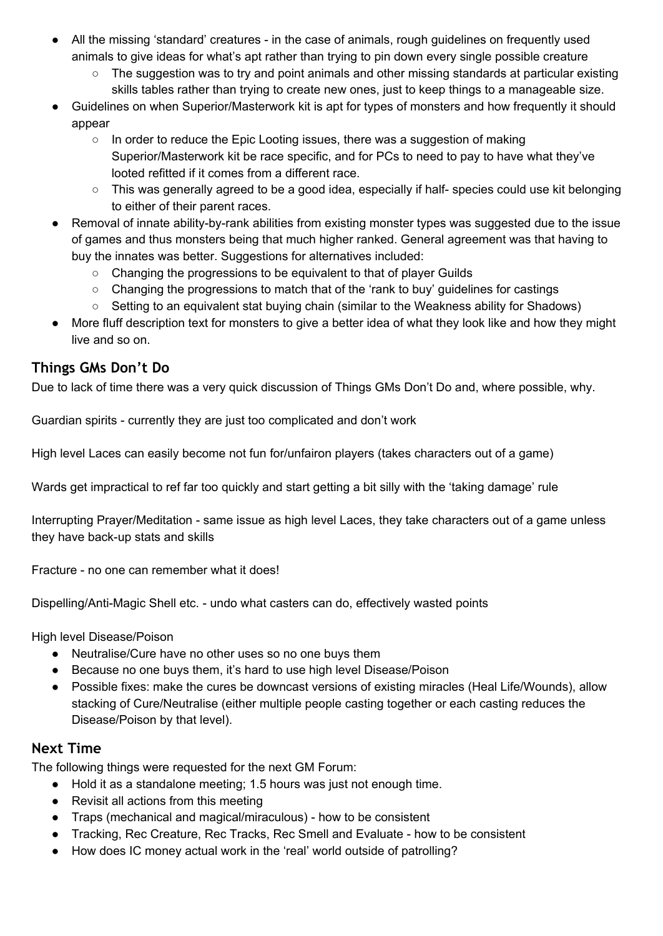- All the missing 'standard' creatures in the case of animals, rough guidelines on frequently used animals to give ideas for what's apt rather than trying to pin down every single possible creature
	- The suggestion was to try and point animals and other missing standards at particular existing skills tables rather than trying to create new ones, just to keep things to a manageable size.
- Guidelines on when Superior/Masterwork kit is apt for types of monsters and how frequently it should appear
	- $\circ$  In order to reduce the Epic Looting issues, there was a suggestion of making Superior/Masterwork kit be race specific, and for PCs to need to pay to have what they've looted refitted if it comes from a different race.
	- This was generally agreed to be a good idea, especially if half- species could use kit belonging to either of their parent races.
- Removal of innate ability-by-rank abilities from existing monster types was suggested due to the issue of games and thus monsters being that much higher ranked. General agreement was that having to buy the innates was better. Suggestions for alternatives included:
	- Changing the progressions to be equivalent to that of player Guilds
	- Changing the progressions to match that of the 'rank to buy' guidelines for castings
	- Setting to an equivalent stat buying chain (similar to the Weakness ability for Shadows)
- More fluff description text for monsters to give a better idea of what they look like and how they might live and so on.

# **Things GMs Don't Do**

Due to lack of time there was a very quick discussion of Things GMs Don't Do and, where possible, why.

Guardian spirits - currently they are just too complicated and don't work

High level Laces can easily become not fun for/unfairon players (takes characters out of a game)

Wards get impractical to ref far too quickly and start getting a bit silly with the 'taking damage' rule

Interrupting Prayer/Meditation - same issue as high level Laces, they take characters out of a game unless they have back-up stats and skills

Fracture - no one can remember what it does!

Dispelling/Anti-Magic Shell etc. - undo what casters can do, effectively wasted points

High level Disease/Poison

- Neutralise/Cure have no other uses so no one buys them
- Because no one buys them, it's hard to use high level Disease/Poison
- Possible fixes: make the cures be downcast versions of existing miracles (Heal Life/Wounds), allow stacking of Cure/Neutralise (either multiple people casting together or each casting reduces the Disease/Poison by that level).

## **Next Time**

The following things were requested for the next GM Forum:

- Hold it as a standalone meeting; 1.5 hours was just not enough time.
- Revisit all actions from this meeting
- Traps (mechanical and magical/miraculous) how to be consistent
- Tracking, Rec Creature, Rec Tracks, Rec Smell and Evaluate how to be consistent
- How does IC money actual work in the 'real' world outside of patrolling?